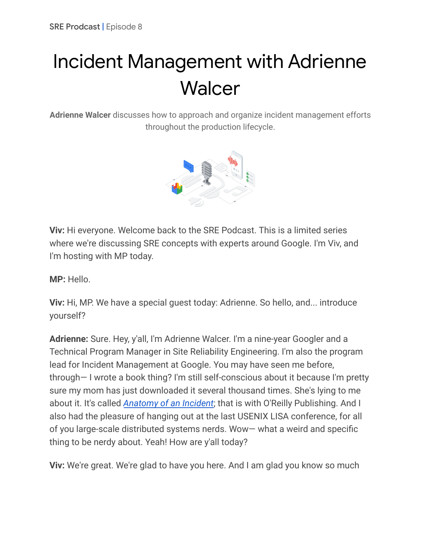# Incident Management with Adrienne **Walcer**

**Adrienne Walcer** discusses how to approach and organize incident management efforts throughout the production lifecycle.



**Viv:** Hi everyone. Welcome back to the SRE Podcast. This is a limited series where we're discussing SRE concepts with experts around Google. I'm Viv, and I'm hosting with MP today.

**MP:** Hello.

**Viv:** Hi, MP. We have a special guest today: Adrienne. So hello, and... introduce yourself?

**Adrienne:** Sure. Hey, y'all, I'm Adrienne Walcer. I'm a nine-year Googler and a Technical Program Manager in Site Reliability Engineering. I'm also the program lead for Incident Management at Google. You may have seen me before, through— I wrote a book thing? I'm still self-conscious about it because I'm pretty sure my mom has just downloaded it several thousand times. She's lying to me about it. It's called *[Anatomy](https://sre.google/resources/practices-and-processes/anatomy-of-an-incident/) of an Incident*; that is with O'Reilly Publishing. And I also had the pleasure of hanging out at the last USENIX LISA conference, for all of you large-scale distributed systems nerds. Wow— what a weird and specific thing to be nerdy about. Yeah! How are y'all today?

**Viv:** We're great. We're glad to have you here. And I am glad you know so much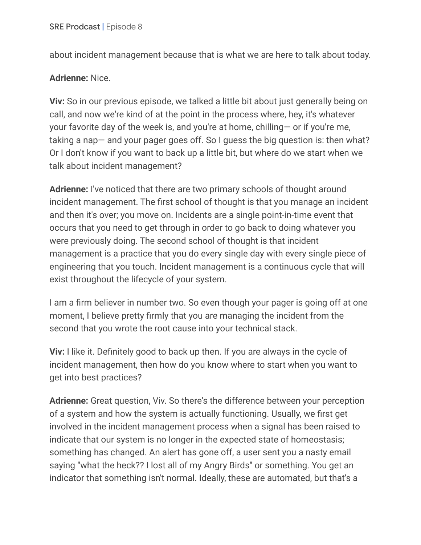about incident management because that is what we are here to talk about today.

### **Adrienne:** Nice.

**Viv:** So in our previous episode, we talked a little bit about just generally being on call, and now we're kind of at the point in the process where, hey, it's whatever your favorite day of the week is, and you're at home, chilling— or if you're me, taking a nap— and your pager goes off. So I guess the big question is: then what? Or I don't know if you want to back up a little bit, but where do we start when we talk about incident management?

**Adrienne:** I've noticed that there are two primary schools of thought around incident management. The first school of thought is that you manage an incident and then it's over; you move on. Incidents are a single point-in-time event that occurs that you need to get through in order to go back to doing whatever you were previously doing. The second school of thought is that incident management is a practice that you do every single day with every single piece of engineering that you touch. Incident management is a continuous cycle that will exist throughout the lifecycle of your system.

I am a firm believer in number two. So even though your pager is going off at one moment, I believe pretty firmly that you are managing the incident from the second that you wrote the root cause into your technical stack.

**Viv:** I like it. Definitely good to back up then. If you are always in the cycle of incident management, then how do you know where to start when you want to get into best practices?

**Adrienne:** Great question, Viv. So there's the difference between your perception of a system and how the system is actually functioning. Usually, we first get involved in the incident management process when a signal has been raised to indicate that our system is no longer in the expected state of homeostasis; something has changed. An alert has gone off, a user sent you a nasty email saying "what the heck?? I lost all of my Angry Birds" or something. You get an indicator that something isn't normal. Ideally, these are automated, but that's a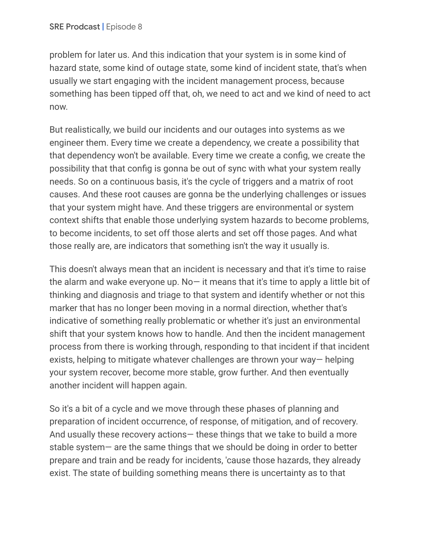problem for later us. And this indication that your system is in some kind of hazard state, some kind of outage state, some kind of incident state, that's when usually we start engaging with the incident management process, because something has been tipped off that, oh, we need to act and we kind of need to act now.

But realistically, we build our incidents and our outages into systems as we engineer them. Every time we create a dependency, we create a possibility that that dependency won't be available. Every time we create a config, we create the possibility that that config is gonna be out of sync with what your system really needs. So on a continuous basis, it's the cycle of triggers and a matrix of root causes. And these root causes are gonna be the underlying challenges or issues that your system might have. And these triggers are environmental or system context shifts that enable those underlying system hazards to become problems, to become incidents, to set off those alerts and set off those pages. And what those really are, are indicators that something isn't the way it usually is.

This doesn't always mean that an incident is necessary and that it's time to raise the alarm and wake everyone up. No— it means that it's time to apply a little bit of thinking and diagnosis and triage to that system and identify whether or not this marker that has no longer been moving in a normal direction, whether that's indicative of something really problematic or whether it's just an environmental shift that your system knows how to handle. And then the incident management process from there is working through, responding to that incident if that incident exists, helping to mitigate whatever challenges are thrown your way— helping your system recover, become more stable, grow further. And then eventually another incident will happen again.

So it's a bit of a cycle and we move through these phases of planning and preparation of incident occurrence, of response, of mitigation, and of recovery. And usually these recovery actions— these things that we take to build a more stable system— are the same things that we should be doing in order to better prepare and train and be ready for incidents, 'cause those hazards, they already exist. The state of building something means there is uncertainty as to that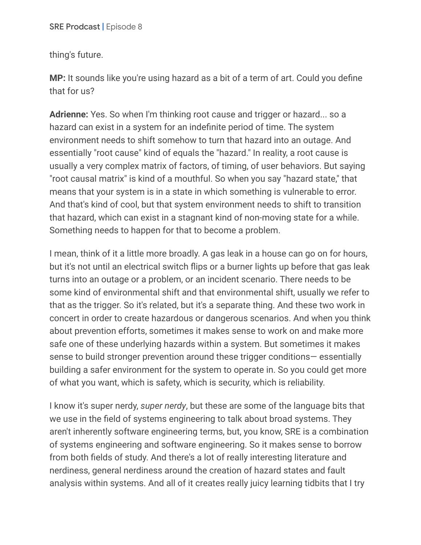thing's future.

**MP:** It sounds like you're using hazard as a bit of a term of art. Could you define that for us?

**Adrienne:** Yes. So when I'm thinking root cause and trigger or hazard... so a hazard can exist in a system for an indefinite period of time. The system environment needs to shift somehow to turn that hazard into an outage. And essentially "root cause" kind of equals the "hazard." In reality, a root cause is usually a very complex matrix of factors, of timing, of user behaviors. But saying "root causal matrix" is kind of a mouthful. So when you say "hazard state," that means that your system is in a state in which something is vulnerable to error. And that's kind of cool, but that system environment needs to shift to transition that hazard, which can exist in a stagnant kind of non-moving state for a while. Something needs to happen for that to become a problem.

I mean, think of it a little more broadly. A gas leak in a house can go on for hours, but it's not until an electrical switch flips or a burner lights up before that gas leak turns into an outage or a problem, or an incident scenario. There needs to be some kind of environmental shift and that environmental shift, usually we refer to that as the trigger. So it's related, but it's a separate thing. And these two work in concert in order to create hazardous or dangerous scenarios. And when you think about prevention efforts, sometimes it makes sense to work on and make more safe one of these underlying hazards within a system. But sometimes it makes sense to build stronger prevention around these trigger conditions— essentially building a safer environment for the system to operate in. So you could get more of what you want, which is safety, which is security, which is reliability.

I know it's super nerdy, *super nerdy*, but these are some of the language bits that we use in the field of systems engineering to talk about broad systems. They aren't inherently software engineering terms, but, you know, SRE is a combination of systems engineering and software engineering. So it makes sense to borrow from both fields of study. And there's a lot of really interesting literature and nerdiness, general nerdiness around the creation of hazard states and fault analysis within systems. And all of it creates really juicy learning tidbits that I try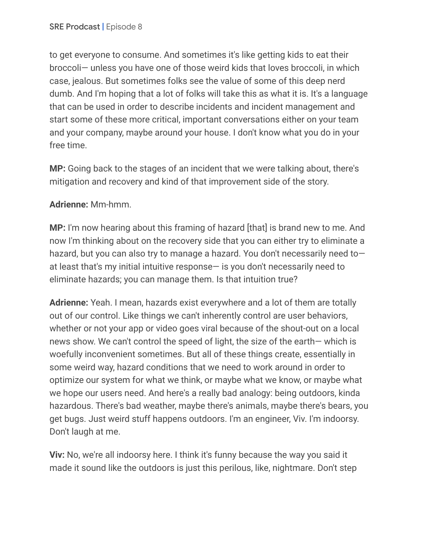to get everyone to consume. And sometimes it's like getting kids to eat their broccoli— unless you have one of those weird kids that loves broccoli, in which case, jealous. But sometimes folks see the value of some of this deep nerd dumb. And I'm hoping that a lot of folks will take this as what it is. It's a language that can be used in order to describe incidents and incident management and start some of these more critical, important conversations either on your team and your company, maybe around your house. I don't know what you do in your free time.

**MP:** Going back to the stages of an incident that we were talking about, there's mitigation and recovery and kind of that improvement side of the story.

## **Adrienne:** Mm-hmm.

**MP:** I'm now hearing about this framing of hazard [that] is brand new to me. And now I'm thinking about on the recovery side that you can either try to eliminate a hazard, but you can also try to manage a hazard. You don't necessarily need toat least that's my initial intuitive response— is you don't necessarily need to eliminate hazards; you can manage them. Is that intuition true?

**Adrienne:** Yeah. I mean, hazards exist everywhere and a lot of them are totally out of our control. Like things we can't inherently control are user behaviors, whether or not your app or video goes viral because of the shout-out on a local news show. We can't control the speed of light, the size of the earth— which is woefully inconvenient sometimes. But all of these things create, essentially in some weird way, hazard conditions that we need to work around in order to optimize our system for what we think, or maybe what we know, or maybe what we hope our users need. And here's a really bad analogy: being outdoors, kinda hazardous. There's bad weather, maybe there's animals, maybe there's bears, you get bugs. Just weird stuff happens outdoors. I'm an engineer, Viv. I'm indoorsy. Don't laugh at me.

**Viv:** No, we're all indoorsy here. I think it's funny because the way you said it made it sound like the outdoors is just this perilous, like, nightmare. Don't step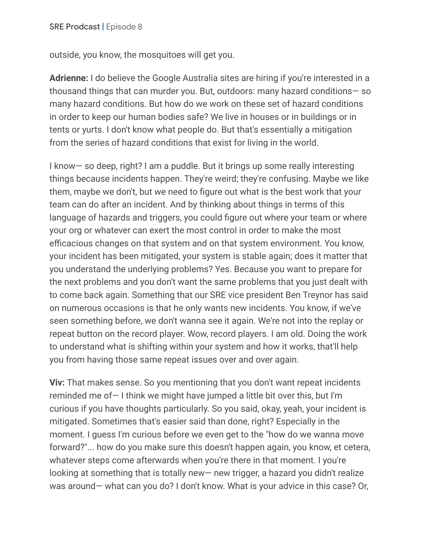outside, you know, the mosquitoes will get you.

**Adrienne:** I do believe the Google Australia sites are hiring if you're interested in a thousand things that can murder you. But, outdoors: many hazard conditions— so many hazard conditions. But how do we work on these set of hazard conditions in order to keep our human bodies safe? We live in houses or in buildings or in tents or yurts. I don't know what people do. But that's essentially a mitigation from the series of hazard conditions that exist for living in the world.

I know— so deep, right? I am a puddle. But it brings up some really interesting things because incidents happen. They're weird; they're confusing. Maybe we like them, maybe we don't, but we need to figure out what is the best work that your team can do after an incident. And by thinking about things in terms of this language of hazards and triggers, you could figure out where your team or where your org or whatever can exert the most control in order to make the most efficacious changes on that system and on that system environment. You know, your incident has been mitigated, your system is stable again; does it matter that you understand the underlying problems? Yes. Because you want to prepare for the next problems and you don't want the same problems that you just dealt with to come back again. Something that our SRE vice president Ben Treynor has said on numerous occasions is that he only wants new incidents. You know, if we've seen something before, we don't wanna see it again. We're not into the replay or repeat button on the record player. Wow, record players. I am old. Doing the work to understand what is shifting within your system and how it works, that'll help you from having those same repeat issues over and over again.

**Viv:** That makes sense. So you mentioning that you don't want repeat incidents reminded me of— I think we might have jumped a little bit over this, but I'm curious if you have thoughts particularly. So you said, okay, yeah, your incident is mitigated. Sometimes that's easier said than done, right? Especially in the moment. I guess I'm curious before we even get to the "how do we wanna move forward?"... how do you make sure this doesn't happen again, you know, et cetera, whatever steps come afterwards when you're there in that moment. I you're looking at something that is totally new— new trigger, a hazard you didn't realize was around— what can you do? I don't know. What is your advice in this case? Or,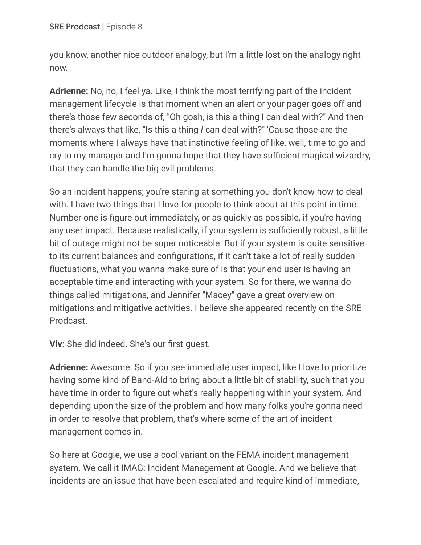you know, another nice outdoor analogy, but I'm a little lost on the analogy right now.

**Adrienne:** No, no, I feel ya. Like, I think the most terrifying part of the incident management lifecycle is that moment when an alert or your pager goes off and there's those few seconds of, "Oh gosh, is this a thing I can deal with?" And then there's always that like, "Is this a thing *I* can deal with?" 'Cause those are the moments where I always have that instinctive feeling of like, well, time to go and cry to my manager and I'm gonna hope that they have sufficient magical wizardry, that they can handle the big evil problems.

So an incident happens; you're staring at something you don't know how to deal with. I have two things that I love for people to think about at this point in time. Number one is figure out immediately, or as quickly as possible, if you're having any user impact. Because realistically, if your system is sufficiently robust, a little bit of outage might not be super noticeable. But if your system is quite sensitive to its current balances and configurations, if it can't take a lot of really sudden fluctuations, what you wanna make sure of is that your end user is having an acceptable time and interacting with your system. So for there, we wanna do things called mitigations, and Jennifer "Macey" gave a great overview on mitigations and mitigative activities. I believe she appeared recently on the SRE Prodcast.

**Viv:** She did indeed. She's our first guest.

**Adrienne:** Awesome. So if you see immediate user impact, like I love to prioritize having some kind of Band-Aid to bring about a little bit of stability, such that you have time in order to figure out what's really happening within your system. And depending upon the size of the problem and how many folks you're gonna need in order to resolve that problem, that's where some of the art of incident management comes in.

So here at Google, we use a cool variant on the FEMA incident management system. We call it IMAG: Incident Management at Google. And we believe that incidents are an issue that have been escalated and require kind of immediate,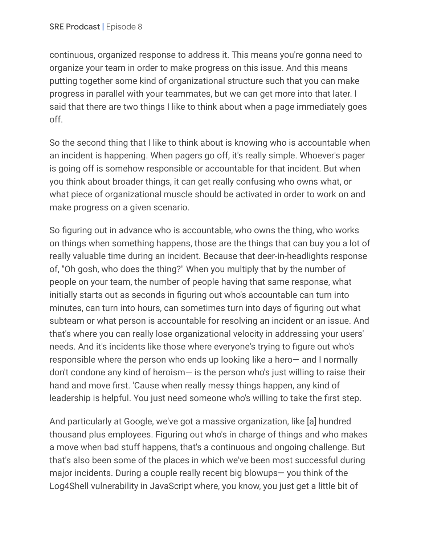continuous, organized response to address it. This means you're gonna need to organize your team in order to make progress on this issue. And this means putting together some kind of organizational structure such that you can make progress in parallel with your teammates, but we can get more into that later. I said that there are two things I like to think about when a page immediately goes off.

So the second thing that I like to think about is knowing who is accountable when an incident is happening. When pagers go off, it's really simple. Whoever's pager is going off is somehow responsible or accountable for that incident. But when you think about broader things, it can get really confusing who owns what, or what piece of organizational muscle should be activated in order to work on and make progress on a given scenario.

So figuring out in advance who is accountable, who owns the thing, who works on things when something happens, those are the things that can buy you a lot of really valuable time during an incident. Because that deer-in-headlights response of, "Oh gosh, who does the thing?" When you multiply that by the number of people on your team, the number of people having that same response, what initially starts out as seconds in figuring out who's accountable can turn into minutes, can turn into hours, can sometimes turn into days of figuring out what subteam or what person is accountable for resolving an incident or an issue. And that's where you can really lose organizational velocity in addressing your users' needs. And it's incidents like those where everyone's trying to figure out who's responsible where the person who ends up looking like a hero— and I normally don't condone any kind of heroism— is the person who's just willing to raise their hand and move first. 'Cause when really messy things happen, any kind of leadership is helpful. You just need someone who's willing to take the first step.

And particularly at Google, we've got a massive organization, like [a] hundred thousand plus employees. Figuring out who's in charge of things and who makes a move when bad stuff happens, that's a continuous and ongoing challenge. But that's also been some of the places in which we've been most successful during major incidents. During a couple really recent big blowups— you think of the Log4Shell vulnerability in JavaScript where, you know, you just get a little bit of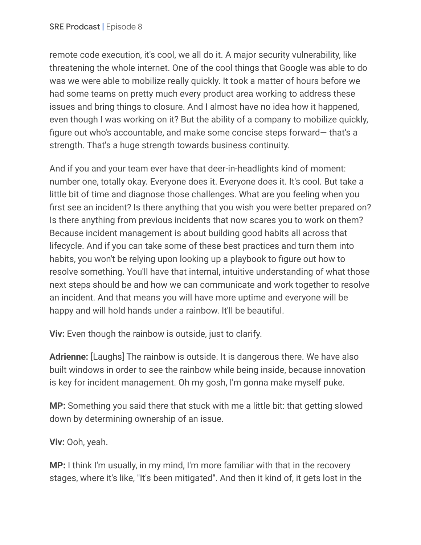remote code execution, it's cool, we all do it. A major security vulnerability, like threatening the whole internet. One of the cool things that Google was able to do was we were able to mobilize really quickly. It took a matter of hours before we had some teams on pretty much every product area working to address these issues and bring things to closure. And I almost have no idea how it happened, even though I was working on it? But the ability of a company to mobilize quickly, figure out who's accountable, and make some concise steps forward— that's a strength. That's a huge strength towards business continuity.

And if you and your team ever have that deer-in-headlights kind of moment: number one, totally okay. Everyone does it. Everyone does it. It's cool. But take a little bit of time and diagnose those challenges. What are you feeling when you first see an incident? Is there anything that you wish you were better prepared on? Is there anything from previous incidents that now scares you to work on them? Because incident management is about building good habits all across that lifecycle. And if you can take some of these best practices and turn them into habits, you won't be relying upon looking up a playbook to figure out how to resolve something. You'll have that internal, intuitive understanding of what those next steps should be and how we can communicate and work together to resolve an incident. And that means you will have more uptime and everyone will be happy and will hold hands under a rainbow. It'll be beautiful.

**Viv:** Even though the rainbow is outside, just to clarify.

**Adrienne:** [Laughs] The rainbow is outside. It is dangerous there. We have also built windows in order to see the rainbow while being inside, because innovation is key for incident management. Oh my gosh, I'm gonna make myself puke.

**MP:** Something you said there that stuck with me a little bit: that getting slowed down by determining ownership of an issue.

**Viv:** Ooh, yeah.

**MP:** I think I'm usually, in my mind, I'm more familiar with that in the recovery stages, where it's like, "It's been mitigated". And then it kind of, it gets lost in the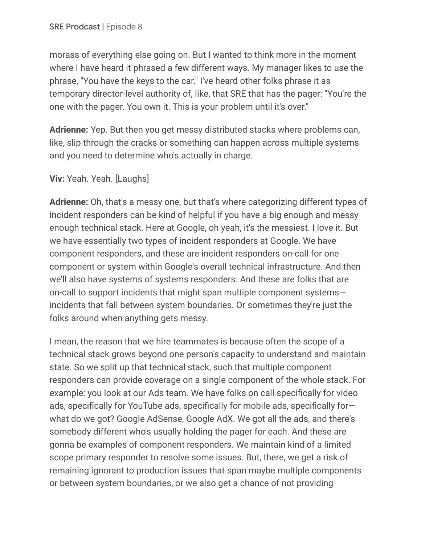morass of everything else going on. But I wanted to think more in the moment where I have heard it phrased a few different ways. My manager likes to use the phrase, "You have the keys to the car." I've heard other folks phrase it as temporary director-level authority of, like, that SRE that has the pager: "You're the one with the pager. You own it. This is your problem until it's over."

**Adrienne:** Yep. But then you get messy distributed stacks where problems can, like, slip through the cracks or something can happen across multiple systems and you need to determine who's actually in charge.

## **Viv:** Yeah. Yeah. [Laughs]

**Adrienne:** Oh, that's a messy one, but that's where categorizing different types of incident responders can be kind of helpful if you have a big enough and messy enough technical stack. Here at Google, oh yeah, it's the messiest. I love it. But we have essentially two types of incident responders at Google. We have component responders, and these are incident responders on-call for one component or system within Google's overall technical infrastructure. And then we'll also have systems of systems responders. And these are folks that are on-call to support incidents that might span multiple component systems incidents that fall between system boundaries. Or sometimes they're just the folks around when anything gets messy.

I mean, the reason that we hire teammates is because often the scope of a technical stack grows beyond one person's capacity to understand and maintain state. So we split up that technical stack, such that multiple component responders can provide coverage on a single component of the whole stack. For example: you look at our Ads team. We have folks on call specifically for video ads, specifically for YouTube ads, specifically for mobile ads, specifically for what do we got? Google AdSense, Google AdX. We got all the ads, and there's somebody different who's usually holding the pager for each. And these are gonna be examples of component responders. We maintain kind of a limited scope primary responder to resolve some issues. But, there, we get a risk of remaining ignorant to production issues that span maybe multiple components or between system boundaries, or we also get a chance of not providing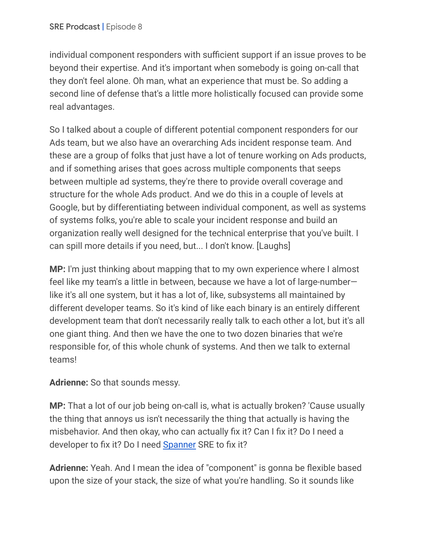individual component responders with sufficient support if an issue proves to be beyond their expertise. And it's important when somebody is going on-call that they don't feel alone. Oh man, what an experience that must be. So adding a second line of defense that's a little more holistically focused can provide some real advantages.

So I talked about a couple of different potential component responders for our Ads team, but we also have an overarching Ads incident response team. And these are a group of folks that just have a lot of tenure working on Ads products, and if something arises that goes across multiple components that seeps between multiple ad systems, they're there to provide overall coverage and structure for the whole Ads product. And we do this in a couple of levels at Google, but by differentiating between individual component, as well as systems of systems folks, you're able to scale your incident response and build an organization really well designed for the technical enterprise that you've built. I can spill more details if you need, but... I don't know. [Laughs]

**MP:** I'm just thinking about mapping that to my own experience where I almost feel like my team's a little in between, because we have a lot of large-number like it's all one system, but it has a lot of, like, subsystems all maintained by different developer teams. So it's kind of like each binary is an entirely different development team that don't necessarily really talk to each other a lot, but it's all one giant thing. And then we have the one to two dozen binaries that we're responsible for, of this whole chunk of systems. And then we talk to external teams!

## **Adrienne:** So that sounds messy.

**MP:** That a lot of our job being on-call is, what is actually broken? 'Cause usually the thing that annoys us isn't necessarily the thing that actually is having the misbehavior. And then okay, who can actually fix it? Can I fix it? Do I need a developer to fix it? Do I need [Spanner](https://research.google/pubs/pub39966/) SRE to fix it?

**Adrienne:** Yeah. And I mean the idea of "component" is gonna be flexible based upon the size of your stack, the size of what you're handling. So it sounds like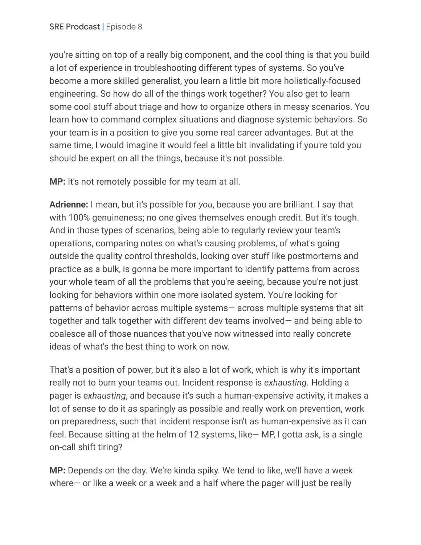you're sitting on top of a really big component, and the cool thing is that you build a lot of experience in troubleshooting different types of systems. So you've become a more skilled generalist, you learn a little bit more holistically-focused engineering. So how do all of the things work together? You also get to learn some cool stuff about triage and how to organize others in messy scenarios. You learn how to command complex situations and diagnose systemic behaviors. So your team is in a position to give you some real career advantages. But at the same time, I would imagine it would feel a little bit invalidating if you're told you should be expert on all the things, because it's not possible.

**MP:** It's not remotely possible for my team at all.

**Adrienne:** I mean, but it's possible for *you*, because you are brilliant. I say that with 100% genuineness; no one gives themselves enough credit. But it's tough. And in those types of scenarios, being able to regularly review your team's operations, comparing notes on what's causing problems, of what's going outside the quality control thresholds, looking over stuff like postmortems and practice as a bulk, is gonna be more important to identify patterns from across your whole team of all the problems that you're seeing, because you're not just looking for behaviors within one more isolated system. You're looking for patterns of behavior across multiple systems— across multiple systems that sit together and talk together with different dev teams involved— and being able to coalesce all of those nuances that you've now witnessed into really concrete ideas of what's the best thing to work on now.

That's a position of power, but it's also a lot of work, which is why it's important really not to burn your teams out. Incident response is *exhausting*. Holding a pager is *exhausting*, and because it's such a human-expensive activity, it makes a lot of sense to do it as sparingly as possible and really work on prevention, work on preparedness, such that incident response isn't as human-expensive as it can feel. Because sitting at the helm of 12 systems, like— MP, I gotta ask, is a single on-call shift tiring?

**MP:** Depends on the day. We're kinda spiky. We tend to like, we'll have a week where— or like a week or a week and a half where the pager will just be really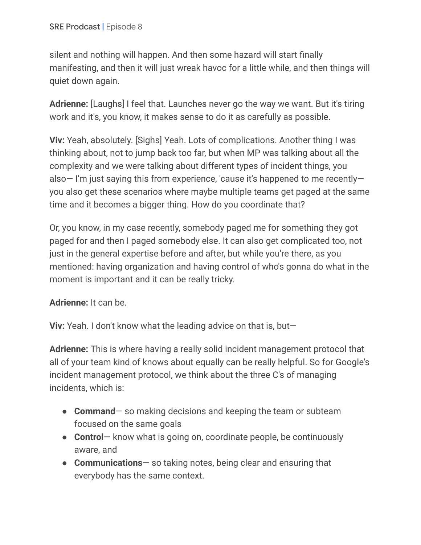silent and nothing will happen. And then some hazard will start finally manifesting, and then it will just wreak havoc for a little while, and then things will quiet down again.

**Adrienne:** [Laughs] I feel that. Launches never go the way we want. But it's tiring work and it's, you know, it makes sense to do it as carefully as possible.

**Viv:** Yeah, absolutely. [Sighs] Yeah. Lots of complications. Another thing I was thinking about, not to jump back too far, but when MP was talking about all the complexity and we were talking about different types of incident things, you also— I'm just saying this from experience, 'cause it's happened to me recently you also get these scenarios where maybe multiple teams get paged at the same time and it becomes a bigger thing. How do you coordinate that?

Or, you know, in my case recently, somebody paged me for something they got paged for and then I paged somebody else. It can also get complicated too, not just in the general expertise before and after, but while you're there, as you mentioned: having organization and having control of who's gonna do what in the moment is important and it can be really tricky.

**Adrienne:** It can be.

**Viv:** Yeah. I don't know what the leading advice on that is, but—

**Adrienne:** This is where having a really solid incident management protocol that all of your team kind of knows about equally can be really helpful. So for Google's incident management protocol, we think about the three C's of managing incidents, which is:

- **Command** so making decisions and keeping the team or subteam focused on the same goals
- **Control** know what is going on, coordinate people, be continuously aware, and
- **Communications** so taking notes, being clear and ensuring that everybody has the same context.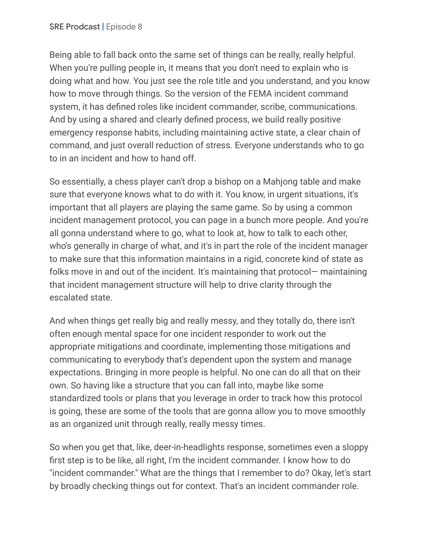Being able to fall back onto the same set of things can be really, really helpful. When you're pulling people in, it means that you don't need to explain who is doing what and how. You just see the role title and you understand, and you know how to move through things. So the version of the FEMA incident command system, it has defined roles like incident commander, scribe, communications. And by using a shared and clearly defined process, we build really positive emergency response habits, including maintaining active state, a clear chain of command, and just overall reduction of stress. Everyone understands who to go to in an incident and how to hand off.

So essentially, a chess player can't drop a bishop on a Mahjong table and make sure that everyone knows what to do with it. You know, in urgent situations, it's important that all players are playing the same game. So by using a common incident management protocol, you can page in a bunch more people. And you're all gonna understand where to go, what to look at, how to talk to each other, who's generally in charge of what, and it's in part the role of the incident manager to make sure that this information maintains in a rigid, concrete kind of state as folks move in and out of the incident. It's maintaining that protocol— maintaining that incident management structure will help to drive clarity through the escalated state.

And when things get really big and really messy, and they totally do, there isn't often enough mental space for one incident responder to work out the appropriate mitigations and coordinate, implementing those mitigations and communicating to everybody that's dependent upon the system and manage expectations. Bringing in more people is helpful. No one can do all that on their own. So having like a structure that you can fall into, maybe like some standardized tools or plans that you leverage in order to track how this protocol is going, these are some of the tools that are gonna allow you to move smoothly as an organized unit through really, really messy times.

So when you get that, like, deer-in-headlights response, sometimes even a sloppy first step is to be like, all right, I'm the incident commander. I know how to do "incident commander." What are the things that I remember to do? Okay, let's start by broadly checking things out for context. That's an incident commander role.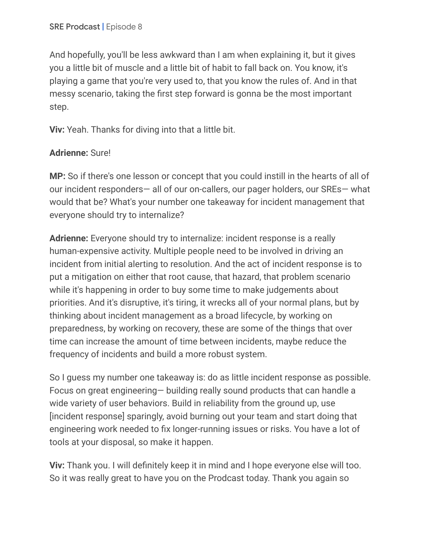And hopefully, you'll be less awkward than I am when explaining it, but it gives you a little bit of muscle and a little bit of habit to fall back on. You know, it's playing a game that you're very used to, that you know the rules of. And in that messy scenario, taking the first step forward is gonna be the most important step.

**Viv:** Yeah. Thanks for diving into that a little bit.

### **Adrienne:** Sure!

**MP:** So if there's one lesson or concept that you could instill in the hearts of all of our incident responders— all of our on-callers, our pager holders, our SREs— what would that be? What's your number one takeaway for incident management that everyone should try to internalize?

**Adrienne:** Everyone should try to internalize: incident response is a really human-expensive activity. Multiple people need to be involved in driving an incident from initial alerting to resolution. And the act of incident response is to put a mitigation on either that root cause, that hazard, that problem scenario while it's happening in order to buy some time to make judgements about priorities. And it's disruptive, it's tiring, it wrecks all of your normal plans, but by thinking about incident management as a broad lifecycle, by working on preparedness, by working on recovery, these are some of the things that over time can increase the amount of time between incidents, maybe reduce the frequency of incidents and build a more robust system.

So I guess my number one takeaway is: do as little incident response as possible. Focus on great engineering— building really sound products that can handle a wide variety of user behaviors. Build in reliability from the ground up, use [incident response] sparingly, avoid burning out your team and start doing that engineering work needed to fix longer-running issues or risks. You have a lot of tools at your disposal, so make it happen.

**Viv:** Thank you. I will definitely keep it in mind and I hope everyone else will too. So it was really great to have you on the Prodcast today. Thank you again so